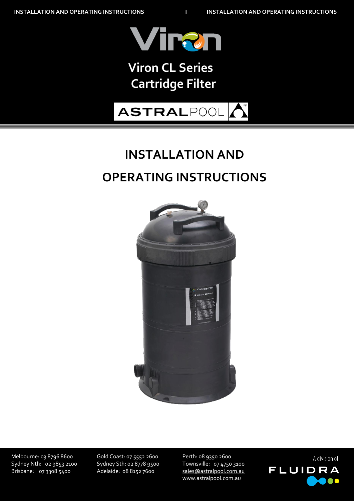

# **Bolero ND Cleaner Viron Cartridge Filter Viron CL Series Cartridge Filter**

# **ASTRALPOOL**

# **INSTALLATION AND OPERATING INSTRUCTIONS**



Melbourne: 03 8796 8600 Gold Coast: 07 5552 2600 Perth: 08 9350 2600 Sydney Nth: 02 9853 2100 Sydney Sth: 02 8778 9500 Townsville: 07 4750 3100

26/08/2015 Brisbane: 07 3308 5400 Adelaide: 08 8152 7600 [sales@astralpool.com.au](mailto:sales@astralpool.com.au) www.astralpool.com.au

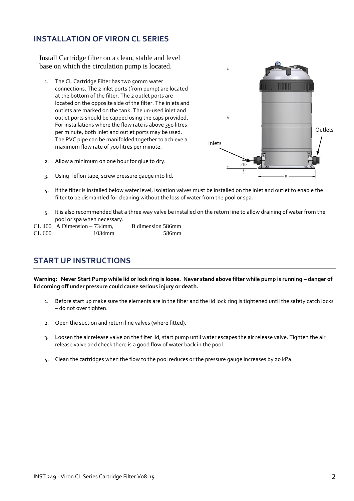## **INSTALLATION OF VIRON CL SERIES**

Install Cartridge filter on a clean, stable and level base on which the circulation pump is located.

- 1. The CL Cartridge Filter has two 50mm water connections. The 2 inlet ports (from pump) are located at the bottom of the filter. The 2 outlet ports are located on the opposite side of the filter. The inlets and outlets are marked on the tank. The un-used inlet and outlet ports should be capped using the caps provided. For installations where the flow rate is above 350 litres per minute, both Inlet and outlet ports may be used. The PVC pipe can be manifolded together to achieve a maximum flow rate of 700 litres per minute.
- 2. Allow a minimum on one hour for glue to dry.
- 3. Using Teflon tape, screw pressure gauge into lid.
- Outlets Inlets810
- 4. If the filter is installed below water level, isolation valves must be installed on the inlet and outlet to enable the filter to be dismantled for cleaning without the loss of water from the pool or spa.
- 5. It is also recommended that a three way valve be installed on the return line to allow draining of water from the pool or spa when necessary.

|        | $CL 400$ A Dimension $-734$ mm, | B dimension 586mm |
|--------|---------------------------------|-------------------|
| CL 600 | 1034mm                          | .586mm            |

## **START UP INSTRUCTIONS**

Warning: Never Start Pump while lid or lock ring is loose. Never stand above filter while pump is running - danger of **lid coming off under pressure could cause serious injury or death.**

- 1. Before start up make sure the elements are in the filter and the lid lock ring is tightened until the safety catch locks – do not over tighten.
- 2. Open the suction and return line valves (where fitted).
- 3. Loosen the air release valve on the filter lid, start pump until water escapes the air release valve. Tighten the air release valve and check there is a good flow of water back in the pool.
- 4. Clean the cartridges when the flow to the pool reduces or the pressure gauge increases by 20 kPa.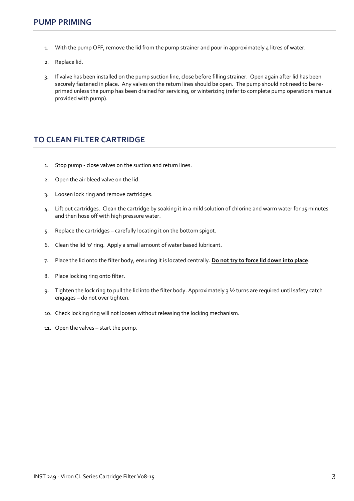- 1. With the pump OFF, remove the lid from the pump strainer and pour in approximately 4 litres of water.
- 2. Replace lid.
- 3. If valve has been installed on the pump suction line, close before filling strainer. Open again after lid has been securely fastened in place. Any valves on the return lines should be open. The pump should not need to be reprimed unless the pump has been drained for servicing, or winterizing (refer to complete pump operations manual provided with pump).

# **TO CLEAN FILTER CARTRIDGE**

- 1. Stop pump close valves on the suction and return lines.
- 2. Open the air bleed valve on the lid.
- 3. Loosen lock ring and remove cartridges.
- 4. Lift out cartridges. Clean the cartridge by soaking it in a mild solution of chlorine and warm water for 15 minutes and then hose off with high pressure water.
- 5. Replace the cartridges carefully locating it on the bottom spigot.
- 6. Clean the lid 'o' ring. Apply a small amount of water based lubricant.
- 7. Place the lid onto the filter body, ensuring it is located centrally. **Do not try to force lid down into place**.
- 8. Place locking ring onto filter.
- 9. Tighten the lock ring to pull the lid into the filter body. Approximately 3 ½ turns are required until safety catch engages – do not over tighten.
- 10. Check locking ring will not loosen without releasing the locking mechanism.
- 11. Open the valves start the pump.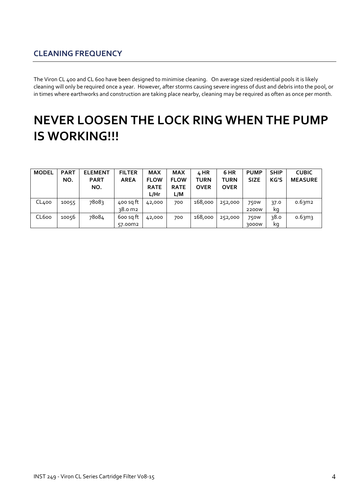# **CLEANING FREQUENCY**

The Viron CL 400 and CL 600 have been designed to minimise cleaning. On average sized residential pools it is likely cleaning will only be required once a year. However, after storms causing severe ingress of dust and debris into the pool, or in times where earthworks and construction are taking place nearby, cleaning may be required as often as once per month.

# **NEVER LOOSEN THE LOCK RING WHEN THE PUMP IS WORKING!!!**

| <b>MODEL</b> | <b>PART</b> | <b>ELEMENT</b> | <b>FILTER</b> | <b>MAX</b>  | <b>MAX</b>  | 4 HR        | 6 HR        | <b>PUMP</b>      | <b>SHIP</b> | <b>CUBIC</b>   |
|--------------|-------------|----------------|---------------|-------------|-------------|-------------|-------------|------------------|-------------|----------------|
|              | NO.         | <b>PART</b>    | <b>AREA</b>   | <b>FLOW</b> | <b>FLOW</b> | <b>TURN</b> | <b>TURN</b> | <b>SIZE</b>      | KG'S        | <b>MEASURE</b> |
|              |             | NO.            |               | <b>RATE</b> | <b>RATE</b> | <b>OVER</b> | <b>OVER</b> |                  |             |                |
|              |             |                |               | L/Hr        | L/M         |             |             |                  |             |                |
| CL400        | 10055       | 78083          | 400 sq ft     | 42,000      | 700         | 168,000     | 252,000     | 750 <sub>W</sub> | 37.0        | 0.63m2         |
|              |             |                | 38.0 m2       |             |             |             |             | 2200W            | kq          |                |
| CL600        | 10056       | 78084          | 600 sq ft     | 42,000      | 700         | 168,000     | 252,000     | 750 <sub>W</sub> | 38.0        | 0.63m3         |
|              |             |                | 57.00m2       |             |             |             |             | 3000W            | ka          |                |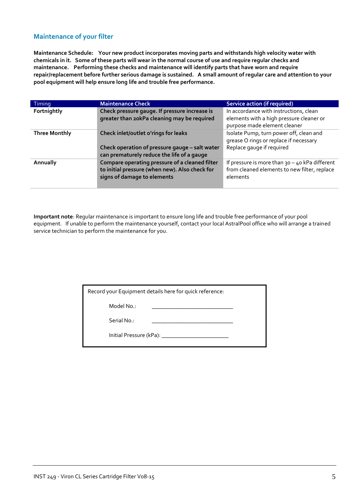#### **Maintenance of your filter**

**Maintenance Schedule: Your new product incorporates moving parts and withstands high velocity water with chemicals in it. Some of these parts will wear in the normal course of use and require regular checks and maintenance. Performing these checks and maintenance will identify parts that have worn and require repair/replacement before further serious damage is sustained. A small amount of regular care and attention to your pool equipment will help ensure long life and trouble free performance.**

| Timing               | <b>Maintenance Check</b>                                                                                                             | <b>Service action (if required)</b>                                                                                |
|----------------------|--------------------------------------------------------------------------------------------------------------------------------------|--------------------------------------------------------------------------------------------------------------------|
| Fortnightly          | Check pressure gauge. If pressure increase is<br>greater than 20kPa cleaning may be required                                         | In accordance with instructions, clean<br>elements with a high pressure cleaner or<br>purpose made element cleaner |
| <b>Three Monthly</b> | Check inlet/outlet o'rings for leaks<br>Check operation of pressure gauge - salt water<br>can prematurely reduce the life of a gauge | Isolate Pump, turn power off, clean and<br>grease O rings or replace if necessary<br>Replace gauge if required     |
| Annually             | Compare operating pressure of a cleaned filter<br>to initial pressure (when new). Also check for<br>signs of damage to elements      | If pressure is more than $30 - 40$ kPa different<br>from cleaned elements to new filter, replace<br>elements       |

**Important note**: Regular maintenance is important to ensure long life and trouble free performance of your pool equipment. If unable to perform the maintenance yourself, contact your local AstralPool office who will arrange a trained service technician to perform the maintenance for you.

| Record your Equipment details here for quick reference: |  |  |
|---------------------------------------------------------|--|--|
| Model No.:                                              |  |  |
| Serial No.:                                             |  |  |

Initial Pressure (kPa): \_\_\_\_\_\_\_\_\_\_\_\_\_\_\_\_\_\_\_\_\_\_\_

INST 249 - Viron CL Series Cartridge Filter Vo8-15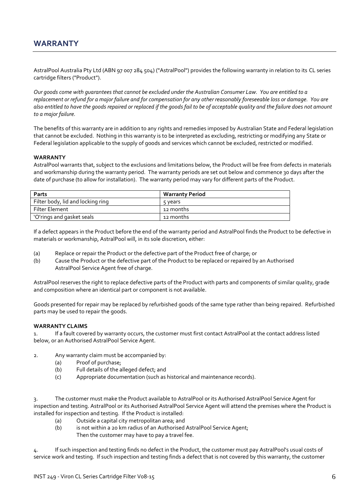### **WARRANTY**

AstralPool Australia Pty Ltd (ABN 97 007 284 504) ("AstralPool") provides the following warranty in relation to its CL series cartridge filters ("Product").

*Our goods come with guarantees that cannot be excluded under the Australian Consumer Law. You are entitled to a replacement or refund for a major failure and for compensation for any other reasonably foreseeable loss or damage. You are also entitled to have the goods repaired or replaced if the goods fail to be of acceptable quality and the failure does not amount to a major failure.*

The benefits of this warranty are in addition to any rights and remedies imposed by Australian State and Federal legislation that cannot be excluded. Nothing in this warranty is to be interpreted as excluding, restricting or modifying any State or Federal legislation applicable to the supply of goods and services which cannot be excluded, restricted or modified.

#### **WARRANTY**

AstralPool warrants that, subject to the exclusions and limitations below, the Product will be free from defects in materials and workmanship during the warranty period. The warranty periods are set out below and commence 30 days after the date of purchase (to allow for installation). The warranty period may vary for different parts of the Product.

| Parts                             | <b>Warranty Period</b> |
|-----------------------------------|------------------------|
| Filter body, lid and locking ring | 5 years                |
| Filter Element                    | 12 months              |
| 'O'rings and gasket seals         | 12 months              |

If a defect appears in the Product before the end of the warranty period and AstralPool finds the Product to be defective in materials or workmanship, AstralPool will, in its sole discretion, either:

- (a) Replace or repair the Product or the defective part of the Product free of charge; or
- (b) Cause the Product or the defective part of the Product to be replaced or repaired by an Authorised AstralPool Service Agent free of charge.

AstralPool reserves the right to replace defective parts of the Product with parts and components of similar quality, grade and composition where an identical part or component is not available.

Goods presented for repair may be replaced by refurbished goods of the same type rather than being repaired. Refurbished parts may be used to repair the goods.

#### **WARRANTY CLAIMS**

If a fault covered by warranty occurs, the customer must first contact AstralPool at the contact address listed below, or an Authorised AstralPool Service Agent.

- 2. Any warranty claim must be accompanied by:
	- (a) Proof of purchase;
	- (b) Full details of the alleged defect; and
	- (c) Appropriate documentation (such as historical and maintenance records).

3. The customer must make the Product available to AstralPool or its Authorised AstralPool Service Agent for inspection and testing. AstralPool or its Authorised AstralPool Service Agent will attend the premises where the Product is installed for inspection and testing. If the Product is installed:

- (a) Outside a capital city metropolitan area; and
- (b) is not within a 20 km radius of an Authorised AstralPool Service Agent; Then the customer may have to pay a travel fee.

4. If such inspection and testing finds no defect in the Product, the customer must pay AstralPool's usual costs of service work and testing. If such inspection and testing finds a defect that is not covered by this warranty, the customer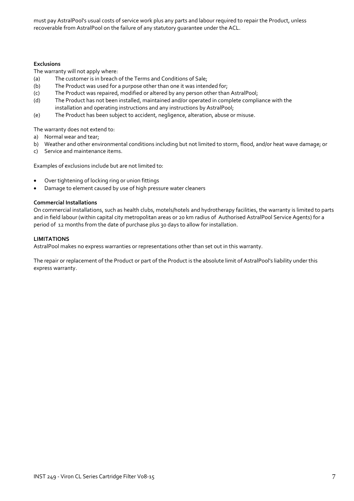must pay AstralPool's usual costs of service work plus any parts and labour required to repair the Product, unless recoverable from AstralPool on the failure of any statutory guarantee under the ACL.

#### **Exclusions**

The warranty will not apply where:

- (a) The customer is in breach of the Terms and Conditions of Sale;
- (b) The Product was used for a purpose other than one it was intended for;
- (c) The Product was repaired, modified or altered by any person other than AstralPool;
- (d) The Product has not been installed, maintained and/or operated in complete compliance with the installation and operating instructions and any instructions by AstralPool;
- (e) The Product has been subject to accident, negligence, alteration, abuse or misuse.

The warranty does not extend to:

- a) Normal wear and tear;
- b) Weather and other environmental conditions including but not limited to storm, flood, and/or heat wave damage; or
- c) Service and maintenance items.

Examples of exclusions include but are not limited to:

- Over tightening of locking ring or union fittings
- Damage to element caused by use of high pressure water cleaners

#### **Commercial Installations**

On commercial installations, such as health clubs, motels/hotels and hydrotherapy facilities, the warranty is limited to parts and in field labour (within capital city metropolitan areas or 20 km radius of Authorised AstralPool Service Agents) for a period of 12 months from the date of purchase plus 30 days to allow for installation.

#### **LIMITATIONS**

AstralPool makes no express warranties or representations other than set out in this warranty.

The repair or replacement of the Product or part of the Product is the absolute limit of AstralPool's liability under this express warranty.